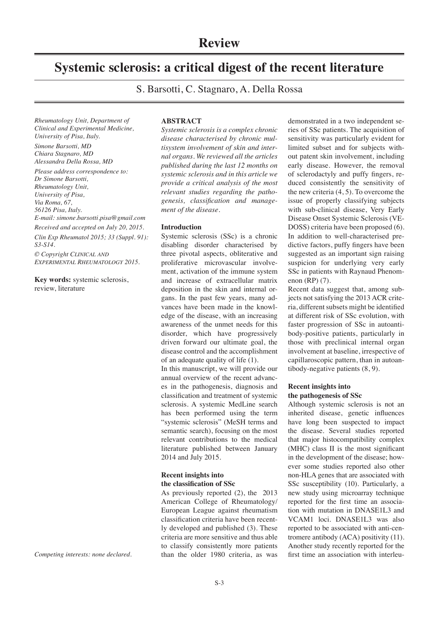# **Systemic sclerosis: a critical digest of the recent literature**

S. Barsotti, C. Stagnaro, A. Della Rossa

*Rheumatology Unit, Department of Clinical and Experimental Medicine, University of Pisa, Italy. Simone Barsotti, MD Chiara Stagnaro, MD Alessandra Della Rossa, MD Please address correspondence to: Dr Simone Barsotti, Rheumatology Unit, University of Pisa, Via Roma, 67, 56126 Pisa, Italy. E-mail: simone.barsotti.pisa@gmail.com Received and accepted on July 20, 2015. Clin Exp Rheumatol 2015; 33 (Suppl. 91): S3-S14.*

*© Copyright Clinical and Experimental Rheumatology 2015.*

**Key words:** systemic sclerosis, review, literature

**ABSTRACT**

*Systemic sclerosis is a complex chronic disease characterised by chronic multisystem involvement of skin and internal organs. We reviewed all the articles published during the last 12 months on systemic sclerosis and in this article we provide a critical analysis of the most relevant studies regarding the pathogenesis, classification and management of the disease.*

# **Introduction**

Systemic sclerosis (SSc) is a chronic disabling disorder characterised by three pivotal aspects, obliterative and proliferative microvascular involvement, activation of the immune system and increase of extracellular matrix deposition in the skin and internal organs. In the past few years, many advances have been made in the knowledge of the disease, with an increasing awareness of the unmet needs for this disorder, which have progressively driven forward our ultimate goal, the disease control and the accomplishment of an adequate quality of life (1).

In this manuscript, we will provide our annual overview of the recent advances in the pathogenesis, diagnosis and classification and treatment of systemic sclerosis. A systemic MedLine search has been performed using the term "systemic sclerosis" (MeSH terms and semantic search), focusing on the most relevant contributions to the medical literature published between January 2014 and July 2015.

# **Recent insights into the classification of SSc**

As previously reported (2), the 2013 American College of Rheumatology/ European League against rheumatism classification criteria have been recently developed and published (3). These criteria are more sensitive and thus able to classify consistently more patients than the older 1980 criteria, as was

demonstrated in a two independent series of SSc patients. The acquisition of sensitivity was particularly evident for limited subset and for subjects without patent skin involvement, including early disease. However, the removal of sclerodactyly and puffy fingers, reduced consistently the sensitivity of the new criteria (4, 5). To overcome the issue of properly classifying subjects with sub-clinical disease, Very Early Disease Onset Systemic Sclerosis (VE-DOSS) criteria have been proposed (6). In addition to well-characterised predictive factors, puffy fingers have been suggested as an important sign raising suspicion for underlying very early SSc in patients with Raynaud Phenomenon (RP) (7).

Recent data suggest that, among subjects not satisfying the 2013 ACR criteria, different subsets might be identified at different risk of SSc evolution, with faster progression of SSc in autoantibody-positive patients, particularly in those with preclinical internal organ involvement at baseline, irrespective of capillaroscopic pattern, than in autoantibody-negative patients (8, 9).

# **Recent insights into the pathogenesis of SSc**

Although systemic sclerosis is not an inherited disease, genetic influences have long been suspected to impact the disease. Several studies reported that major histocompatibility complex (MHC) class II is the most significant in the development of the disease; however some studies reported also other non-HLA genes that are associated with SSc susceptibility (10). Particularly, a new study using microarray technique reported for the first time an association with mutation in DNASE1L3 and VCAM1 loci. DNASE1L3 was also reported to be associated with anti-centromere antibody (ACA) positivity (11). Another study recently reported for the first time an association with interleu-

*Competing interests: none declared.*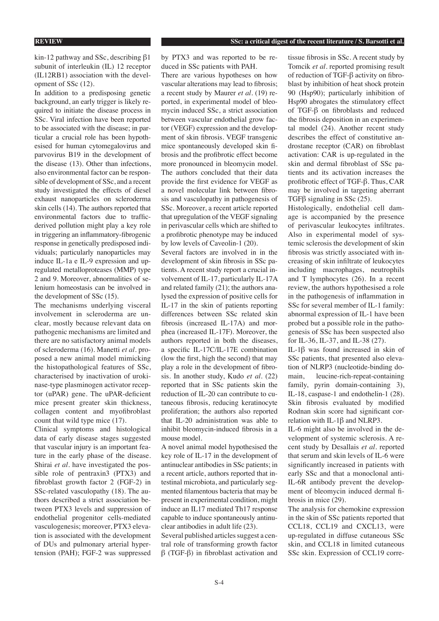kin-12 pathway and SSc, describing β1 subunit of interleukin (IL) 12 receptor (IL12RB1) association with the development of SSc (12).

In addition to a predisposing genetic background, an early trigger is likely required to initiate the disease process in SSc. Viral infection have been reported to be associated with the disease; in particular a crucial role has been hypothesised for human cytomegalovirus and parvovirus B19 in the development of the disease (13). Other than infections, also environmental factor can be responsible of development of SSc, and a recent study investigated the effects of diesel exhaust nanoparticles on scleroderma skin cells (14). The authors reported that environmental factors due to trafficderived pollution might play a key role in triggering an inflammatory-fibrogenic response in genetically predisposed individuals; particularly nanoparticles may induce IL-1a e IL-9 expression and upregulated metalloproteases (MMP) type 2 and 9. Moreover, abnormalities of selenium homeostasis can be involved in the development of SSc (15).

The mechanisms underlying visceral involvement in scleroderma are unclear, mostly because relevant data on pathogenic mechanisms are limited and there are no satisfactory animal models of scleroderma (16). Manetti *et al.* proposed a new animal model mimicking the histopathological features of SSc, characterised by inactivation of urokinase-type plasminogen activator receptor (uPAR) gene. The uPAR-deficient mice present greater skin thickness, collagen content and myofibroblast count that wild type mice (17).

Clinical symptoms and histological data of early disease stages suggested that vascular injury is an important feature in the early phase of the disease. Shirai *et al.* have investigated the possible role of pentraxin3 (PTX3) and fibroblast growth factor 2 (FGF-2) in SSc-related vasculopathy (18). The authors described a strict association between PTX3 levels and suppression of endothelial progenitor cells-mediated vasculogenesis; moreover, PTX3 elevation is associated with the development of DUs and pulmonary arterial hypertension (PAH); FGF-2 was suppressed

by PTX3 and was reported to be reduced in SSc patients with PAH.

There are various hypotheses on how vascular alterations may lead to fibrosis; a recent study by Maurer *et al.* (19) reported, in experimental model of bleomycin induced SSc, a strict association between vascular endothelial grow factor (VEGF) expression and the development of skin fibrosis. VEGF transgenic mice spontaneously developed skin fibrosis and the profibrotic effect become more pronounced in bleomycin model. The authors concluded that their data provide the first evidence for VEGF as a novel molecular link between fibrosis and vasculopathy in pathogenesis of SSc. Moreover, a recent article reported that upregulation of the VEGF signaling in perivascular cells which are shifted to a profibrotic phenotype may be induced by low levels of Caveolin-1 (20).

Several factors are involved in in the development of skin fibrosis in SSc patients. A recent study report a crucial involvement of IL-17, particularly IL-17A and related family (21); the authors analysed the expression of positive cells for IL-17 in the skin of patients reporting differences between SSc related skin fibrosis (increased IL-17A) and morphea (increased IL-17F). Moreover, the authors reported in both the diseases, a specific IL-17C/IL-17E combination (low the first, high the second) that may play a role in the development of fibrosis. In another study, Kudo *et al.* (22) reported that in SSc patients skin the reduction of IL-20 can contribute to cutaneous fibrosis, reducing keratinocyte proliferation; the authors also reported that IL-20 administration was able to inhibit bleomycin-induced fibrosis in a mouse model.

A novel animal model hypothesised the key role of IL-17 in the development of antinuclear antibodies in SSc patients; in a recent article, authors reported that intestinal microbiota, and particularly segmented filamentous bacteria that may be present in experimental condition, might induce an IL17 mediated Th17 response capable to induce spontaneously antinuclear antibodies in adult life (23).

Several published articles suggest a central role of transforming growth factor β (TGF-β) in fibroblast activation and

tissue fibrosis in SSc. A recent study by Tomcik *et al.* reported promising result of reduction of TGF-β activity on fibroblast by inhibition of heat shock protein 90 (Hsp90); particularly inhibition of Hsp90 abrogates the stimulatory effect of TGF-β on fibroblasts and reduced the fibrosis deposition in an experimental model (24). Another recent study describes the effect of constitutive androstane receptor (CAR) on fibroblast activation: CAR is up-regulated in the skin and dermal fibroblast of SSc patients and its activation increases the profibrotic effect of TGF-β. Thus, CAR may be involved in targeting aberrant TGFβ signaling in SSc (25).

Histologically, endothelial cell damage is accompanied by the presence of perivascular leukocytes infiltrates. Also in experimental model of systemic sclerosis the development of skin fibrosis was strictly associated with increasing of skin infiltrate of leukocytes including macrophages, neutrophils and T lymphocytes (26). In a recent review, the authors hypothesised a role in the pathogenesis of inflammation in SSc for several member of IL-1 family: abnormal expression of IL-1 have been probed but a possible role in the pathogenesis of SSc has been suspected also for IL-36, IL-37, and IL-38 (27).

IL-1β was found increased in skin of SSc patients, that presented also elevation of NLRP3 (nucleotide-binding domain, leucine-rich-repeat-containing family, pyrin domain-containing 3), IL-18, caspase-1 and endothelin-1 (28). Skin fibrosis evaluated by modified Rodnan skin score had significant correlation with IL-1β and NLRP3.

IL-6 might also be involved in the development of systemic sclerosis. A recent study by Desallais *et al.* reported that serum and skin levels of IL-6 were significantly increased in patients with early SSc and that a monoclonal anti-IL-6R antibody prevent the development of bleomycin induced dermal fibrosis in mice (29).

The analysis for chemokine expression in the skin of SSc patients reported that CCL18, CCL19 and CXCL13, were up-regulated in diffuse cutaneous SSc skin, and CCL18 in limited cutaneous SSc skin. Expression of CCL19 corre-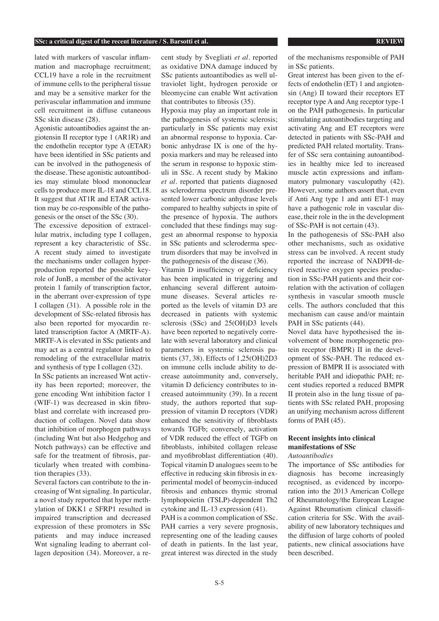#### **SSc: a critical digest of the recent literature / S. Barsotti et al. REVIEW REVIEW**

lated with markers of vascular inflammation and macrophage recruitment; CCL19 have a role in the recruitment of immune cells to the peripheral tissue and may be a sensitive marker for the perivascular inflammation and immune cell recruitment in diffuse cutaneous SSc skin disease (28).

Agonistic autoantibodies against the angiotensin II receptor type 1 (AR1R) and the endothelin receptor type A (ETAR) have been identified in SSc patients and can be involved in the pathogenesis of the disease. These agonistic autoantibodies may stimulate blood mononuclear cells to produce more IL-18 and CCL18. It suggest that AT1R and ETAR activation may be co-responsible of the pathogenesis or the onset of the SSc (30).

The excessive deposition of extracellular matrix, including type I collagen, represent a key characteristic of SSc. A recent study aimed to investigate the mechanisms under collagen hyperproduction reported the possible keyrole of JunB, a member of the activator protein 1 family of transcription factor, in the aberrant over-expression of type I collagen (31). A possible role in the development of SSc-related fibrosis has also been reported for myocardin related transcription factor A (MRTF-A). MRTF-A is elevated in SSc patients and may act as a central regulator linked to remodeling of the extracellular matrix and synthesis of type I collagen (32).

In SSc patients an increased Wnt activity has been reported; moreover, the gene encoding Wnt inhibition factor 1 (WIF-1) was decreased in skin fibroblast and correlate with increased production of collagen. Novel data show that inhibition of morphogen pathways (including Wnt but also Hedgehog and Notch pathways) can be effective and safe for the treatment of fibrosis, particularly when treated with combination therapies (33).

Several factors can contribute to the increasing of Wnt signaling. In particular, a novel study reported that hyper methylation of DKK1 e SFRP1 resulted in impaired transcription and decreased expression of these promoters in SSc patients and may induce increased Wnt signaling leading to aberrant collagen deposition (34). Moreover, a recent study by Svegliati *et al.* reported as oxidative DNA damage induced by SSc patients autoantibodies as well ultraviolet light, hydrogen peroxide or bleomycine can enable Wnt activation that contributes to fibrosis (35).

Hypoxia may play an important role in the pathogenesis of systemic sclerosis; particularly in SSc patients may exist an abnormal response to hypoxia. Carbonic anhydrase IX is one of the hypoxia markers and may be released into the serum in response to hypoxic stimuli in SSc. A recent study by Makino *et al.* reported that patients diagnosed as scleroderma spectrum disorder presented lower carbonic anhydrase levels compared to healthy subjects in spite of the presence of hypoxia. The authors concluded that these findings may suggest an abnormal response to hypoxia in SSc patients and scleroderma spectrum disorders that may be involved in the pathogenesis of the disease (36).

Vitamin D insufficiency or deficiency has been implicated in triggering and enhancing several different autoimmune diseases. Several articles reported as the levels of vitamin D3 are decreased in patients with systemic sclerosis (SSc) and 25(OH)D3 levels have been reported to negatively correlate with several laboratory and clinical parameters in systemic sclerosis patients (37, 38). Effects of 1,25(OH)2D3 on immune cells include ability to decrease autoimmunity and, conversely, vitamin D deficiency contributes to increased autoimmunity (39). In a recent study, the authors reported that suppression of vitamin D receptors (VDR) enhanced the sensitivity of fibroblasts towards TGFb; conversely, activation of VDR reduced the effect of TGFb on fibroblasts, inhibited collagen release and myofibroblast differentiation (40). Topical vitamin D analogues seem to be effective in reducing skin fibrosis in experimental model of beomycin-induced fibrosis and enhances thymic stromal lymphopoietin (TSLP)-dependent Th2 cytokine and IL-13 expression (41).

PAH is a common complication of SSc. PAH carries a very severe prognosis, representing one of the leading causes of death in patients. In the last year, great interest was directed in the study of the mechanisms responsible of PAH in SSc patients.

Great interest has been given to the effects of endothelin (ET) 1 and angiotensin (Ang) II toward their receptors ET receptor type A and Ang receptor type-1 on the PAH pathogenesis. In particular stimulating autoantibodies targeting and activating Ang and ET receptors were detected in patients with SSc-PAH and predicted PAH related mortality. Transfer of SSc sera containing autoantibodies in healthy mice led to increased muscle actin expressions and inflammatory pulmonary vasculopathy (42). However, some authors assert that, even if Anti Ang type 1 and anti ET-1 may have a pathogenic role in vascular disease, their role in the in the development of SSc-PAH is not certain (43).

In the pathogenesis of SSc-PAH also other mechanisms, such as oxidative stress can be involved. A recent study reported the increase of NADPH-derived reactive oxygen species production in SSc-PAH patients and their correlation with the activation of collagen synthesis in vascular smooth muscle cells. The authors concluded that this mechanism can cause and/or maintain PAH in SSc patients  $(44)$ .

Novel data have hypothesised the involvement of bone morphogenetic protein receptor (BMPR) II in the development of SSc-PAH. The reduced expression of BMPR II is associated with heritable PAH and idiopathic PAH; recent studies reported a reduced BMPR II protein also in the lung tissue of patients with SSc related PAH, proposing an unifying mechanism across different forms of PAH (45).

# **Recent insights into clinical manifestations of SSc**

# *Autoantibodies*

The importance of SSc antibodies for diagnosis has become increasingly recognised, as evidenced by incorporation into the 2013 American College of Rheumatology/the European League Against Rheumatism clinical classification criteria for SSc. With the availability of new laboratory techniques and the diffusion of large cohorts of pooled patients, new clinical associations have been described.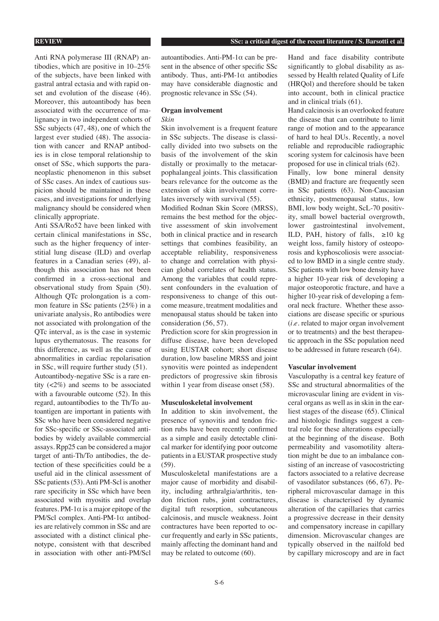Anti RNA polymerase III (RNAP) antibodies, which are positive in 10–25% of the subjects, have been linked with gastral antral ectasia and with rapid onset and evolution of the disease (46). Moreover, this autoantibody has been associated with the occurrence of malignancy in two independent cohorts of SSc subjects (47, 48), one of which the largest ever studied (48). The association with cancer and RNAP antibodies is in close temporal relationship to onset of SSc, which supports the paraneoplastic phenomenon in this subset of SSc cases. An index of cautious suspicion should be maintained in these cases, and investigations for underlying malignancy should be considered when clinically appropriate.

Anti SSA/Ro52 have been linked with certain clinical manifestations in SSc, such as the higher frequency of interstitial lung disease (ILD) and overlap features in a Canadian series (49), although this association has not been confirmed in a cross-sectional and observational study from Spain (50). Although QTc prolongation is a common feature in SSc patients (25%) in a univariate analysis, Ro antibodies were not associated with prolongation of the QTc interval, as is the case in systemic lupus erythematosus. The reasons for this difference, as well as the cause of abnormalities in cardiac repolarisation in SSc, will require further study (51). Autoantibody-negative SSc is a rare entity (<2%) and seems to be associated with a favourable outcome (52). In this regard, autoantibodies to the Th/To autoantigen are important in patients with SSc who have been considered negative for SSc-specific or SSc-associated antibodies by widely available commercial assays. Rpp25 can be considered a major target of anti-Th/To antibodies, the detection of these specificities could be a useful aid in the clinical assessment of SSc patients (53). Anti PM-Scl is another rare specificity in SSc which have been associated with myositis and overlap features. PM-1 $\alpha$  is a major epitope of the PM/Scl complex. Anti-PM-1α antibodies are relatively common in SSc and are associated with a distinct clinical phenotype, consistent with that described in association with other anti-PM/Scl

autoantibodies. Anti-PM-1α can be present in the absence of other specific SSc antibody. Thus, anti-PM-1 $\alpha$  antibodies may have considerable diagnostic and prognostic relevance in SSc (54).

# **Organ involvement**

# *Skin*

Skin involvement is a frequent feature in SSc subjects. The disease is classically divided into two subsets on the basis of the involvement of the skin distally or proximally to the metacarpophalangeal joints. This classification bears relevance for the outcome as the extension of skin involvement correlates inversely with survival (55).

Modified Rodnan Skin Score (MRSS), remains the best method for the objective assessment of skin involvement both in clinical practice and in research settings that combines feasibility, an acceptable reliability, responsiveness to change and correlation with physician global correlates of health status. Among the variables that could represent confounders in the evaluation of responsiveness to change of this outcome measure, treatment modalities and menopausal status should be taken into consideration (56, 57).

Prediction score for skin progression in diffuse disease, have been developed using EUSTAR cohort; short disease duration, low baseline MRSS and joint synovitis were pointed as independent predictors of progressive skin fibrosis within 1 year from disease onset  $(58)$ .

### **Musculoskeletal involvement**

In addition to skin involvement, the presence of synovitis and tendon friction rubs have been recently confirmed as a simple and easily detectable clinical marker for identifying poor outcome patients in a EUSTAR prospective study (59).

Musculoskeletal manifestations are a major cause of morbidity and disability, including arthralgia/arthritis, tendon friction rubs, joint contractures, digital tuft resorption, subcutaneous calcinosis, and muscle weakness. Joint contractures have been reported to occur frequently and early in SSc patients, mainly affecting the dominant hand and may be related to outcome (60).

Hand and face disability contribute significantly to global disability as assessed by Health related Quality of Life (HRQol) and therefore should be taken into account, both in clinical practice and in clinical trials (61).

Hand calcinosis is an overlooked feature the disease that can contribute to limit range of motion and to the appearance of hard to heal DUs. Recently, a novel reliable and reproducible radiographic scoring system for calcinosis have been proposed for use in clinical trials (62).

Finally, low bone mineral density (BMD) and fracture are frequently seen in SSc patients (63). Non-Caucasian ethnicity, postmenopausal status, low BMI, low body weight, ScL-70 positivity, small bowel bacterial overgrowth, lower gastrointestinal involvement, ILD, PAH, history of falls,  $\geq 10$  kg weight loss, family history of osteoporosis and kyphoscoliosis were associated to low BMD in a single centre study. SSc patients with low bone density have a higher 10-year risk of developing a major osteoporotic fracture, and have a higher 10-year risk of developing a femoral neck fracture. Whether these associations are disease specific or spurious (*i.e.* related to major organ involvement or to treatments) and the best therapeutic approach in the SSc population need to be addressed in future research (64).

#### **Vascular involvement**

Vasculopathy is a central key feature of SSc and structural abnormalities of the microvascular lining are evident in visceral organs as well as in skin in the earliest stages of the disease (65). Clinical and histologic findings suggest a central role for these alterations especially at the beginning of the disease. Both permeability and vasomotility alteration might be due to an imbalance consisting of an increase of vasocostricting factors associated to a relative decrease of vasodilator substances (66, 67). Peripheral microvascular damage in this disease is characterised by dynamic alteration of the capillaries that carries a progressive decrease in their density and compensatory increase in capillary dimension. Microvascular changes are typically observed in the nailfold bed by capillary microscopy and are in fact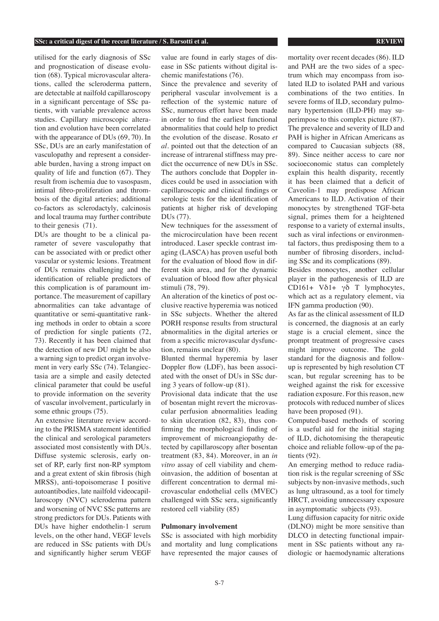#### **SSc: a critical digest of the recent literature / S. Barsotti et al. REVIEW**

utilised for the early diagnosis of SSc and prognostication of disease evolution (68). Typical microvascular alterations, called the scleroderma pattern, are detectable at nailfold capillaroscopy in a significant percentage of SSc patients, with variable prevalence across studies. Capillary microscopic alteration and evolution have been correlated with the appearance of DUs (69, 70). In SSc, DUs are an early manifestation of vasculopathy and represent a considerable burden, having a strong impact on quality of life and function (67). They result from ischemia due to vasospasm, intimal fibro-proliferation and thrombosis of the digital arteries; additional co-factors as sclerodactyly, calcinosis and local trauma may further contribute to their genesis (71).

DUs are thought to be a clinical parameter of severe vasculopathy that can be associated with or predict other vascular or systemic lesions. Treatment of DUs remains challenging and the identification of reliable predictors of this complication is of paramount importance. The measurement of capillary abnormalities can take advantage of quantitative or semi-quantitative ranking methods in order to obtain a score of prediction for single patients (72, 73). Recently it has been claimed that the detection of new DU might be also a warning sign to predict organ involvement in very early SSc (74). Telangiectasia are a simple and easily detected clinical parameter that could be useful to provide information on the severity of vascular involvement, particularly in some ethnic groups (75).

An extensive literature review according to the PRISMA statement identified the clinical and serological parameters associated most consistently with DUs. Diffuse systemic sclerosis, early onset of RP, early first non-RP symptom and a great extent of skin fibrosis (high MRSS), anti-topoisomerase I positive autoantibodies, late nailfold videocapillaroscopy (NVC) scleroderma pattern and worsening of NVC SSc patterns are strong predictors for DUs. Patients with DUs have higher endothelin-1 serum levels, on the other hand, VEGF levels are reduced in SSc patients with DUs and significantly higher serum VEGF

value are found in early stages of disease in SSc patients without digital ischemic manifestations (76).

Since the prevalence and severity of peripheral vascular involvement is a reflection of the systemic nature of SSc, numerous effort have been made in order to find the earliest functional abnormalities that could help to predict the evolution of the disease. Rosato *et al.* pointed out that the detection of an increase of intrarenal stiffness may predict the occurrence of new DUs in SSc. The authors conclude that Doppler indices could be used in association with capillaroscopic and clinical findings or serologic tests for the identification of patients at higher risk of developing DUs (77).

New techniques for the assessment of the microcirculation have been recent introduced. Laser speckle contrast imaging (LASCA) has proven useful both for the evaluation of blood flow in different skin area, and for the dynamic evaluation of blood flow after physical stimuli (78, 79).

An alteration of the kinetics of post occlusive reactive hyperemia was noticed in SSc subjects. Whether the altered PORH response results from structural abnormalities in the digital arteries or from a specific microvascular dysfunction, remains unclear (80).

Blunted thermal hyperemia by laser Doppler flow (LDF), has been associated with the onset of DUs in SSc during 3 years of follow-up (81).

Provisional data indicate that the use of bosentan might revert the microvascular perfusion abnormalities leading to skin ulceration (82, 83), thus confirming the morphological finding of improvement of microangiopathy detected by capillaroscopy after bosentan treatment (83, 84). Moreover, in an *in vitro* assay of cell viability and chemoinvasion, the addition of bosentan at different concentration to dermal microvascular endothelial cells (MVEC) challenged with SSc sera, significantly restored cell viability (85)

#### **Pulmonary involvement**

SSc is associated with high morbidity and mortality and lung complications have represented the major causes of mortality over recent decades (86). ILD and PAH are the two sides of a spectrum which may encompass from isolated ILD to isolated PAH and various combinations of the two entities. In severe forms of ILD, secondary pulmonary hypertension (ILD-PH) may superimpose to this complex picture (87). The prevalence and severity of ILD and PAH is higher in African Americans as compared to Caucasian subjects (88, 89). Since neither access to care nor socioeconomic status can completely explain this health disparity, recently it has been claimed that a deficit of Caveolin-1 may predispose African Americans to ILD. Activation of their monocytes by strengthened TGF-beta signal, primes them for a heightened response to a variety of external insults, such as viral infections or environmental factors, thus predisposing them to a number of fibrosing disorders, including SSc and its complications (89).

Besides monocytes, another cellular player in the pathogenesis of ILD are CD161+  $V\delta$ 1+  $\gamma\delta$  T lymphocytes, which act as a regulatory element, via IFN gamma production (90).

As far as the clinical assessment of ILD is concerned, the diagnosis at an early stage is a crucial element, since the prompt treatment of progressive cases might improve outcome. The gold standard for the diagnosis and followup is represented by high resolution CT scan, but regular screening has to be weighed against the risk for excessive radiation exposure. For this reason, new protocols with reduced number of slices have been proposed (91).

Computed-based methods of scoring is a useful aid for the initial staging of ILD, dichotomising the therapeutic choice and reliable follow-up of the patients (92).

An emerging method to reduce radiation risk is the regular screening of SSc subjects by non-invasive methods, such as lung ultrasound, as a tool for timely HRCT, avoiding unnecessary exposure in asymptomatic subjects (93).

Lung diffusion capacity for nitric oxide (DLNO) might be more sensitive than DLCO in detecting functional impairment in SSc patients without any radiologic or haemodynamic alterations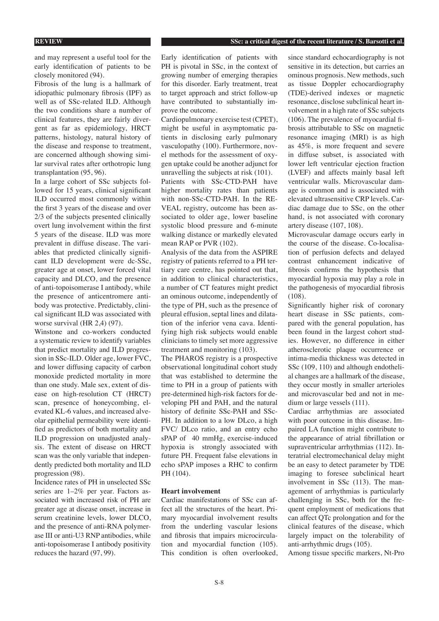and may represent a useful tool for the early identification of patients to be closely monitored (94).

Fibrosis of the lung is a hallmark of idiopathic pulmonary fibrosis (IPF) as well as of SSc-related ILD. Although the two conditions share a number of clinical features, they are fairly divergent as far as epidemiology, HRCT patterns, histology, natural history of the disease and response to treatment, are concerned although showing similar survival rates after orthotropic lung transplantation (95, 96).

In a large cohort of SSc subjects followed for 15 years, clinical significant ILD occurred most commonly within the first 3 years of the disease and over 2/3 of the subjects presented clinically overt lung involvement within the first 5 years of the disease. ILD was more prevalent in diffuse disease. The variables that predicted clinically significant ILD development were dc-SSc, greater age at onset, lower forced vital capacity and DLCO, and the presence of anti-topoisomerase I antibody, while the presence of anticentromere antibody was protective. Predictably, clinical significant ILD was associated with worse survival (HR 2,4) (97).

Winstone and co-workers conducted a systematic review to identify variables that predict mortality and ILD progression in SSc-ILD. Older age, lower FVC, and lower diffusing capacity of carbon monoxide predicted mortality in more than one study. Male sex, extent of disease on high-resolution CT (HRCT) scan, presence of honeycombing, elevated KL-6 values, and increased alveolar epithelial permeability were identified as predictors of both mortality and ILD progression on unadjusted analysis. The extent of disease on HRCT scan was the only variable that independently predicted both mortality and ILD progression (98).

Incidence rates of PH in unselected SSc series are 1–2% per year. Factors associated with increased risk of PH are greater age at disease onset, increase in serum creatinine levels, lower DLCO, and the presence of anti-RNA polymerase III or anti-U3 RNP antibodies, while anti-topoisomerase I antibody positivity reduces the hazard (97, 99).

Early identification of patients with PH is pivotal in SSc, in the context of growing number of emerging therapies for this disorder. Early treatment, treat to target approach and strict follow-up have contributed to substantially improve the outcome.

Cardiopulmonary exercise test (CPET), might be useful in asymptomatic patients in disclosing early pulmonary vasculopathy (100). Furthermore, novel methods for the assessment of oxygen uptake could be another adjunct for unravelling the subjects at risk (101).

Patients with SSc-CTD-PAH have higher mortality rates than patients with non-SSc-CTD-PAH. In the RE-VEAL registry, outcome has been associated to older age, lower baseline systolic blood pressure and 6-minute walking distance or markedly elevated mean RAP or PVR (102).

Analysis of the data from the ASPIRE registry of patients referred to a PH tertiary care centre, has pointed out that, in addition to clinical characteristics, a number of CT features might predict an ominous outcome, independently of the type of PH, such as the presence of pleural effusion, septal lines and dilatation of the inferior vena cava. Identifying high risk subjects would enable clinicians to timely set more aggressive treatment and monitoring (103).

The PHAROS registry is a prospective observational longitudinal cohort study that was established to determine the time to PH in a group of patients with pre-determined high-risk factors for developing PH and PAH, and the natural history of definite SSc-PAH and SSc-PH. In addition to a low DLco, a high FVC/ DLco ratio, and an entry echo sPAP of 40 mmHg, exercise-induced hypoxia is strongly associated with future PH. Frequent false elevations in echo sPAP imposes a RHC to confirm PH (104).

# **Heart involvement**

Cardiac manifestations of SSc can affect all the structures of the heart. Primary myocardial involvement results from the underling vascular lesions and fibrosis that impairs microcirculation and myocardial function (105). This condition is often overlooked,

since standard echocardiography is not sensitive in its detection, but carries an ominous prognosis. New methods, such as tissue Doppler echocardiography (TDE)-derived indexes or magnetic resonance, disclose subclinical heart involvement in a high rate of SSc subjects (106). The prevalence of myocardial fibrosis attributable to SSc on magnetic resonance imaging (MRI) is as high as 45%, is more frequent and severe in diffuse subset, is associated with lower left ventricular ejection fraction (LVEF) and affects mainly basal left ventricular walls. Microvascular damage is common and is associated with elevated ultrasensitive CRP levels. Cardiac damage due to SSc, on the other hand, is not associated with coronary artery disease (107, 108).

Microvascular damage occurs early in the course of the disease. Co-localisation of perfusion defects and delayed contrast enhancement indicative of fibrosis confirms the hypothesis that myocardial hypoxia may play a role in the pathogenesis of myocardial fibrosis (108).

Significantly higher risk of coronary heart disease in SSc patients, compared with the general population, has been found in the largest cohort studies. However, no difference in either atherosclerotic plaque occurrence or intima-media thickness was detected in SSc (109, 110) and although endothelial changes are a hallmark of the disease, they occur mostly in smaller arterioles and microvascular bed and not in medium or large vessels (111).

Cardiac arrhythmias are associated with poor outcome in this disease. Impaired LA function might contribute to the appearance of atrial fibrillation or supraventricular arrhythmias (112). Interatrial electromechanical delay might be an easy to detect parameter by TDE imaging to foresee subclinical heart involvement in SSc (113). The management of arrhythmias is particularly challenging in SSc, both for the frequent employment of medications that can affect QTc prolongation and for the clinical features of the disease, which largely impact on the tolerability of anti-arrhythmic drugs (105).

Among tissue specific markers, Nt-Pro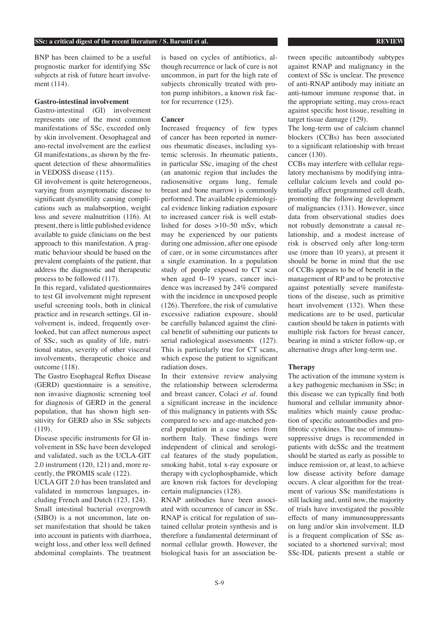BNP has been claimed to be a useful prognostic marker for identifying SSc subjects at risk of future heart involvement (114).

### **Gastro-intestinal involvement**

Gastro-intestinal (GI) involvement represents one of the most common manifestations of SSc, exceeded only by skin involvement. Oesophageal and ano-rectal involvement are the earliest GI manifestations, as shown by the frequent detection of these abnormalities in VEDOSS disease (115).

GI involvement is quite heterogeneous, varying from asymptomatic disease to significant dysmotility causing complications such as malabsorption, weight loss and severe malnutrition (116). At present, there is little published evidence available to guide clinicians on the best approach to this manifestation. A pragmatic behaviour should be based on the prevalent complaints of the patient, that address the diagnostic and therapeutic process to be followed (117).

In this regard, validated questionnaires to test GI involvement might represent useful screening tools, both in clinical practice and in research settings. GI involvement is, indeed, frequently overlooked, but can affect numerous aspect of SSc, such as quality of life, nutritional status, severity of other visceral involvements, therapeutic choice and outcome (118).

The Gastro Esophageal Reflux Disease (GERD) questionnaire is a sensitive, non invasive diagnostic screening tool for diagnosis of GERD in the general population, that has shown high sensitivity for GERD also in SSc subjects (119).

Disease specific instruments for GI involvement in SSc have been developed and validated, such as the UCLA-GIT 2.0 instrument (120, 121) and, more recently, the PROMIS scale (122).

UCLA GIT 2.0 has been translated and validated in numerous languages, including French and Dutch (123, 124). Small intestinal bacterial overgrowth (SIBO) is a not uncommon, late onset manifestation that should be taken into account in patients with diarrhoea, weight loss, and other less well defined abdominal complaints. The treatment

is based on cycles of antibiotics, although recurrence or lack of cure is not uncommon, in part for the high rate of subjects chronically treated with proton pump inhibitors, a known risk factor for recurrence (125).

#### **Cancer**

Increased frequency of few types of cancer has been reported in numerous rheumatic diseases, including systemic sclerosis. In rheumatic patients, in particular SSc, imaging of the chest (an anatomic region that includes the radiosensitive organs lung, female breast and bone marrow) is commonly performed. The available epidemiological evidence linking radiation exposure to increased cancer risk is well established for doses >10–50 mSv, which may be experienced by our patients during one admission, after one episode of care, or in some circumstances after a single examination. In a population study of people exposed to CT scan when aged 0–19 years, cancer incidence was increased by 24% compared with the incidence in unexposed people (126). Therefore, the risk of cumulative excessive radiation exposure, should be carefully balanced against the clinical benefit of submitting our patients to serial radiological assessments (127). This is particularly true for CT scans, which expose the patient to significant radiation doses.

In their extensive review analysing the relationship between scleroderma and breast cancer, Colaci *et al.* found a significant increase in the incidence of this malignancy in patients with SSc compared to sex- and age-matched general population in a case series from northern Italy. These findings were independent of clinical and serological features of the study population, smoking habit, total x-ray exposure or therapy with cyclophosphamide, which are known risk factors for developing certain malignancies (128).

RNAP antibodies have been associated with occurrence of cancer in SSc. RNAP is critical for regulation of sustained cellular protein synthesis and is therefore a fundamental determinant of normal cellular growth. However, the biological basis for an association be-

tween specific autoantibody subtypes against RNAP and malignancy in the context of SSc is unclear. The presence of anti-RNAP antibody may initiate an anti-tumour immune response that, in the appropriate setting, may cross-react against specific host tissue, resulting in target tissue damage (129).

The long-term use of calcium channel blockers (CCBs) has been associated to a significant relationship with breast cancer (130).

CCBs may interfere with cellular regulatory mechanisms by modifying intracellular calcium levels and could potentially affect programmed cell death, promoting the following development of malignancies (131). However, since data from observational studies does not robustly demonstrate a causal relationship, and a modest increase of risk is observed only after long-term use (more than 10 years), at present it should be borne in mind that the use of CCBs appears to be of benefit in the management of RP and to be protective against potentially severe manifestations of the disease, such as primitive heart involvement (132). When these medications are to be used, particular caution should be taken in patients with multiple risk factors for breast cancer, bearing in mind a stricter follow-up, or alternative drugs after long-term use.

#### **Therapy**

The activation of the immune system is a key pathogenic mechanism in SSc; in this disease we can typically find both humoral and cellular immunity abnormalities which mainly cause production of specific autoantibodies and profibrotic cytokines. The use of immunosuppressive drugs is recommended in patients with dcSSc and the treatment should be started as early as possible to induce remission or, at least, to achieve low disease activity before damage occurs. A clear algorithm for the treatment of various SSc manifestations is still lacking and, until now, the majority of trials have investigated the possible effects of many immunosuppressants on lung and/or skin involvement. ILD is a frequent complication of SSc associated to a shortened survival; most SSc-IDL patients present a stable or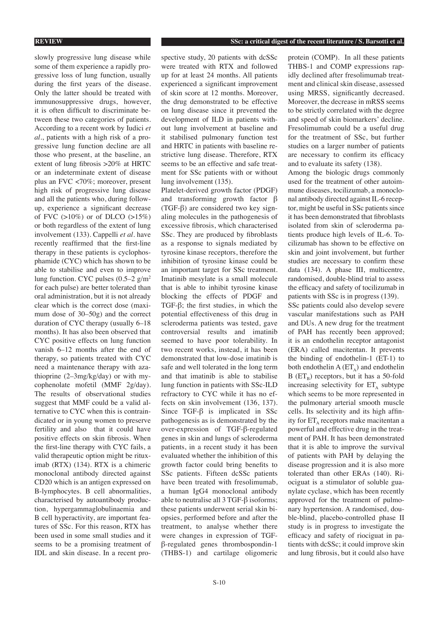slowly progressive lung disease while some of them experience a rapidly progressive loss of lung function, usually during the first years of the disease. Only the latter should be treated with immunosuppressive drugs, however, it is often difficult to discriminate between these two categories of patients. According to a recent work by Iudici *et al.*, patients with a high risk of a progressive lung function decline are all those who present, at the baseline, an extent of lung fibrosis >20% at HRTC or an indeterminate extent of disease plus an FVC <70%; moreover, present high risk of progressive lung disease and all the patients who, during followup, experience a significant decrease of FVC (>10%) or of DLCO (>15%) or both regardless of the extent of lung involvement (133). Cappelli *et al.* have recently reaffirmed that the first-line therapy in these patients is cyclophosphamide (CYC) which has shown to be able to stabilise and even to improve lung function. CYC pulses  $(0.5-2 \text{ g/m}^2)$ for each pulse) are better tolerated than oral administration, but it is not already clear which is the correct dose (maximum dose of 30–50g) and the correct duration of CYC therapy (usually 6–18 months). It has also been observed that CYC positive effects on lung function vanish 6–12 months after the end of therapy, so patients treated with CYC need a maintenance therapy with azathioprine (2–3mg/kg/day) or with mycophenolate mofetil (MMF 2g/day). The results of observational studies suggest that MMF could be a valid alternative to CYC when this is contraindicated or in young women to preserve fertility and also that it could have positive effects on skin fibrosis. When the first-line therapy with CYC fails, a valid therapeutic option might be rituximab (RTX) (134). RTX is a chimeric monoclonal antibody directed against CD20 which is an antigen expressed on B-lymphocytes. B cell abnormalities, characterised by autoantibody production, hypergammaglobulinaemia and B cell hyperactivity, are important features of SSc. For this reason, RTX has been used in some small studies and it seems to be a promising treatment of IDL and skin disease. In a recent prospective study, 20 patients with dcSSc were treated with RTX and followed up for at least 24 months. All patients experienced a significant improvement of skin score at 12 months. Moreover, the drug demonstrated to be effective on lung disease since it prevented the development of ILD in patients without lung involvement at baseline and it stabilised pulmonary function test and HRTC in patients with baseline restrictive lung disease. Therefore, RTX seems to be an effective and safe treatment for SSc patients with or without lung involvement (135).

Platelet-derived growth factor (PDGF) and transforming growth factor β (TGF-β) are considered two key signaling molecules in the pathogenesis of excessive fibrosis, which characterised SSc. They are produced by fibroblasts as a response to signals mediated by tyrosine kinase receptors, therefore the inhibition of tyrosine kinase could be an important target for SSc treatment. Imatinib mesylate is a small molecule that is able to inhibit tyrosine kinase blocking the effects of PDGF and TGF-β; the first studies, in which the potential effectiveness of this drug in scleroderma patients was tested, gave controversial results and imatinib seemed to have poor tolerability. In two recent works, instead, it has been demonstrated that low-dose imatinib is safe and well tolerated in the long term and that imatinib is able to stabilise lung function in patients with SSc-ILD refractory to CYC while it has no effects on skin involvement (136, 137). Since TGF-β is implicated in SSc pathogenesis as is demonstrated by the over-expression of TGF-β-regulated genes in skin and lungs of scleroderma patients, in a recent study it has been evaluated whether the inhibition of this growth factor could bring benefits to SSc patients. Fifteen dcSSc patients have been treated with fresolimumab, a human IgG4 monoclonal antibody able to neutralise all 3 TGF-β isoforms; these patients underwent serial skin biopsies, performed before and after the treatment, to analyse whether there were changes in expression of TGFβ-regulated genes thrombospondin-1 (THBS-1) and cartilage oligomeric protein (COMP). In all these patients THBS-1 and COMP expressions rapidly declined after fresolimumab treatment and clinical skin disease, assessed using MRSS, significantly decreased. Moreover, the decrease in mRSS seems to be strictly correlated with the degree and speed of skin biomarkers' decline. Fresolimumab could be a useful drug for the treatment of SSc, but further studies on a larger number of patients are necessary to confirm its efficacy and to evaluate its safety (138).

Among the biologic drugs commonly used for the treatment of other autoimmune diseases, tocilizumab, a monoclonal antibody directed against IL-6 receptor, might be useful in SSc patients since it has been demonstrated that fibroblasts isolated from skin of scleroderma patients produce high levels of IL-6. Tocilizumab has shown to be effective on skin and joint involvement, but further studies are necessary to confirm these data (134). A phase III, multicentre, randomised, double-blind trial to assess the efficacy and safety of tocilizumab in patients with SSc is in progress (139).

SSc patients could also develop severe vascular manifestations such as PAH and DUs. A new drug for the treatment of PAH has recently been approved; it is an endothelin receptor antagonist (ERA) called macitentan. It prevents the binding of endothelin-1 (ET-1) to both endothelin  $A (ET_A)$  and endothelin  $B$  (ET<sub>p</sub>) receptors, but it has a 50-fold increasing selectivity for  $ET_A$  subtype which seems to be more represented in the pulmonary arterial smooth muscle cells. Its selectivity and its high affinity for  $ET_A$  receptors make macitentan a powerful and effective drug in the treatment of PAH. It has been demonstrated that it is able to improve the survival of patients with PAH by delaying the disease progression and it is also more tolerated than other ERAs (140). Riociguat is a stimulator of soluble guanylate cyclase, which has been recently approved for the treatment of pulmonary hypertension. A randomised, double-blind, placebo-controlled phase II study is in progress to investigate the efficacy and safety of riociguat in patients with dcSSc; it could improve skin and lung fibrosis, but it could also have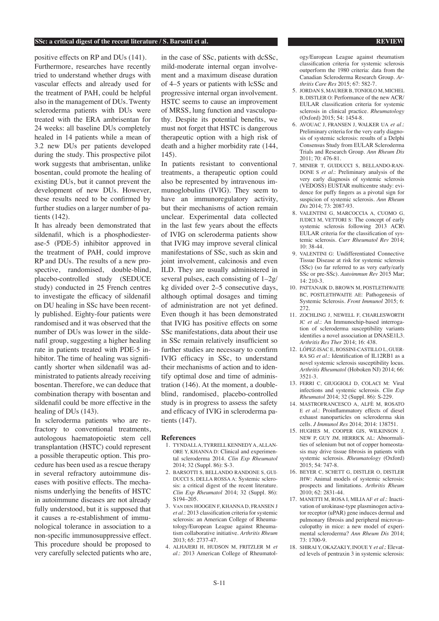#### **SSc: a critical digest of the recent literature / S. Barsotti et al. REVIEW REVIEW**

positive effects on RP and DUs (141). Furthermore, researches have recently tried to understand whether drugs with vascular effects and already used for the treatment of PAH, could be helpful also in the management of DUs. Twenty scleroderma patients with DUs were treated with the ERA ambrisentan for 24 weeks: all baseline DUs completely healed in 14 patients while a mean of 3.2 new DUs per patients developed during the study. This prospective pilot work suggests that ambrisentan, unlike bosentan, could promote the healing of existing DUs, but it cannot prevent the development of new DUs. However, these results need to be confirmed by further studies on a larger number of patients (142).

It has already been demonstrated that sildenafil, which is a phosphodiesterase-5 (PDE-5) inhibitor approved in the treatment of PAH, could improve RP and DUs. The results of a new prospective, randomised, double-blind, placebo-controlled study (SEDUCE study) conducted in 25 French centres to investigate the efficacy of sildenafil on DU healing in SSc have been recently published. Eighty-four patients were randomised and it was observed that the number of DUs was lower in the sildenafil group, suggesting a higher healing rate in patients treated with PDE-5 inhibitor. The time of healing was significantly shorter when sildenafil was administrated to patients already receiving bosentan. Therefore, we can deduce that combination therapy with bosentan and sildenafil could be more effective in the healing of DUs (143).

In scleroderma patients who are refractory to conventional treatments, autologous haematopoietic stem cell transplantation (HSTC) could represent a possible therapeutic option. This procedure has been used as a rescue therapy in several refractory autoimmune diseases with positive effects. The mechanisms underlying the benefits of HSTC in autoimmune diseases are not already fully understood, but it is supposed that it causes a re-establishment of immunological tolerance in association to a non-specific immunosuppressive effect. This procedure should be proposed to very carefully selected patients who are, in the case of SSc, patients with dcSSc, mild-moderate internal organ involvement and a maximum disease duration of 4–5 years or patients with lcSSc and progressive internal organ involvement. HSTC seems to cause an improvement of MRSS, lung function and vasculopathy. Despite its potential benefits, we must not forget that HSTC is dangerous therapeutic option with a high risk of death and a higher morbidity rate (144, 145).

In patients resistant to conventional treatments, a therapeutic option could also be represented by intravenous immunoglobulins (IVIG). They seem to have an immunoregulatory activity, but their mechanisms of action remain unclear. Experimental data collected in the last few years about the effects of IVIG on scleroderma patients show that IVIG may improve several clinical manifestations of SSc, such as skin and joint involvement, calcinosis and even ILD. They are usually administered in several pulses, each consisting of 1–2g/ kg divided over 2–5 consecutive days, although optimal dosages and timing of administration are not yet defined. Even though it has been demonstrated that IVIG has positive effects on some SSc manifestations, data about their use in SSc remain relatively insufficient so further studies are necessary to confirm IVIG efficacy in SSc, to understand their mechanisms of action and to identify optimal dose and time of administration (146). At the moment, a doubleblind, randomised, placebo-controlled study is in progress to assess the safety and efficacy of IVIG in scleroderma patients (147).

#### **References**

- 1. TYNDALL A, TYRRELL KENNEDY A, ALLAN-ORE Y, KHANNA D: Clinical and experimental scleroderma 2014. *Clin Exp Rheumatol* 2014; 32 (Suppl. 86): S-3.
- 2. BARSOTTI S, BELLANDO RANDONE S, GUI-DUCCI S, DELLA ROSSA A: Systemic sclerosis: a critical digest of the recent literature. *Clin Exp Rheumatol* 2014; 32 (Suppl. 86): S194–205.
- 3. Van den HOOGEN F, KHANNA D, FRANSEN J *et al.*: 2013 classification criteria for systemic sclerosis: an American College of Rheumatology/European League against Rheumatism collaborative initiative. *Arthritis Rheum* 2013; 65: 2737-47.
- 4. ALHAJERI H, HUDSON M, FRITZLER M *et al.*: 2013 American College of Rheumatol-

ogy/European League against rheumatism classification criteria for systemic sclerosis outperform the 1980 criteria: data from the Canadian Scleroderma Research Group. *Arthritis Care Res* 2015; 67: 582-7.

- 5. JORDAN S, MAURER B, TONIOLO M, MICHEL B, DISTLER O: Performance of the new ACR/ EULAR classification criteria for systemic sclerosis in clinical practice. *Rheumatology*  (Oxford) 2015; 54: 1454-8.
- 6. AVOUAC J, FRANSEN J, WALKER UA *et al.*: Preliminary criteria for the very early diagnosis of systemic sclerosis: results of a Delphi Consensus Study from EULAR Scleroderma Trials and Research Group. *Ann Rheum Dis* 2011; 70: 476-81.
- 7. MINIER T, GUIDUCCI S, BELLANDO-RAN-DONE S *et al.*: Preliminary analysis of the very early diagnosis of systemic sclerosis (VEDOSS) EUSTAR multicentre study: evidence for puffy fingers as a pivotal sign for suspicion of systemic sclerosis. *Ann Rheum Dis* 2014; 73: 2087-93.
- 8. VALENTINI G, MARCOCCIA A, CUOMO G, IUDICI M, VETTORI S: The concept of early systemic sclerosis following 2013 ACR\ EULAR criteria for the classification of systemic sclerosis. *Curr Rheumatol Rev* 2014; 10: 38-44.
- 9. VALENTINI G: Undifferentiated Connective Tissue Disease at risk for systemic sclerosis (SSc) (so far referred to as very early/early SSc or pre-SSc). *Autoimmun Rev* 2015 Mar; 14: 210-3.
- 10. PATTANAIK D, BROWN M, POSTLETHWAITE BC, POSTLETHWAITE AE: Pathogenesis of Systemic Sclerosis. *Front Immunol* 2015; 6: 272.
- 11. ZOCHLING J, NEWELL F, CHARLESWORTH JC et al.: An Immunochip-based interrogation of scleroderma susceptibility variants identifies a novel association at DNASE1L3. *Arthritis Res Ther* 2014; 16: 438.
- 12. LÓPEZ-ISAC E, BOSSINI-CASTILLO L, GUER-RA SG *et al.*: Identification of IL12RB1 as a novel systemic sclerosis susceptibility locus. *Arthritis Rheumatol* (Hoboken NJ) 2014; 66: 3521-3.
- 13. FERRI C, GIUGGIOLI D, COLACI M: Viral infections and systemic sclerosis. *Clin Exp Rheumatol* 2014; 32 (Suppl. 86): S-229.
- 14. MASTROFRANCESCO A, ALFÈ M, ROSATO E *et al.*: Proinflammatory effects of diesel exhaust nanoparticles on scleroderma skin cells. *J Immunol Res* 2014; 2014: 138751.
- 15. HUGHES M, COOPER GJS, WILKINSON J, NEW P, GUY JM, HERRICK AL: Abnormalities of selenium but not of copper homeostasis may drive tissue fibrosis in patients with systemic sclerosis. *Rheumatology* (Oxford) 2015; 54: 747-8.
- 16. BEYER C, SCHETT G, DISTLER O, DISTLER JHW: Animal models of systemic sclerosis: prospects and limitations. *Arthritis Rheum* 2010; 62: 2831-44.
- 17. MANETTI M, ROSA I, MILIA AF *et al.*: Inactivation of urokinase-type plasminogen activator receptor (uPAR) gene induces dermal and pulmonary fibrosis and peripheral microvasculopathy in mice: a new model of experimental scleroderma? *Ann Rheum Dis* 2014; 73: 1700-9.
- 18. SHIRAI Y, OKAZAKI Y, INOUE Y *et al.*: Elevated levels of pentraxin 3 in systemic sclerosis: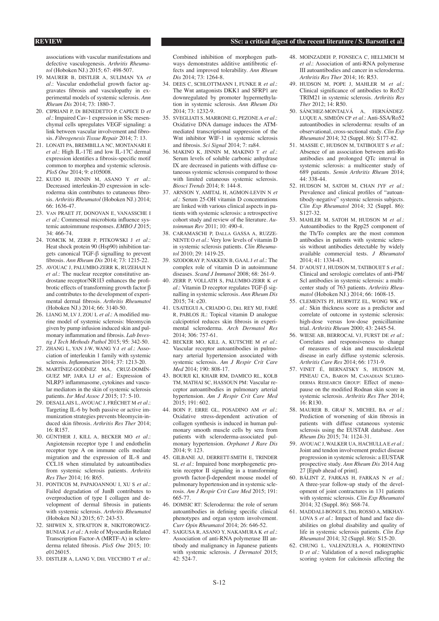#### **REVIEW SSc: a critical digest of the recent literature / S. Barsotti et al.**

associations with vascular manifestations and defective vasculogenesis. *Arthritis Rheumatol* (Hoboken NJ.) 2015; 67: 498-507.

- 19. MAURER B, DISTLER A, SULIMAN YA *et al.*: Vascular endothelial growth factor aggravates fibrosis and vasculopathy in experimental models of systemic sclerosis. *Ann Rheum Dis* 2014; 73: 1880-7.
- 20. CIPRIANI P, Di BENEDETTO P, CAPECE D *et al.*: Impaired Cav-1 expression in SSc mesenchymal cells upregulates VEGF signaling: a link between vascular involvement and fibrosis. *Fibrogenesis Tissue Repair* 2014; 7: 13.
- 21. LONATI PA, BREMBILLA NC, MONTANARI E *et al.*: High IL-17E and low IL-17C dermal expression identifies a fibrosis-specific motif common to morphea and systemic sclerosis. *PloS One* 2014; 9: e105008.
- 22. KUDO H, JINNIN M, ASANO Y *et al.*: Decreased interleukin-20 expression in scleroderma skin contributes to cutaneous fibrosis. *Arthritis Rheumatol* (Hoboken NJ.) 2014; 66: 1636-47.
- 23. Van PRAET JT, DONOVAN E, VANASSCHE I *et al.*: Commensal microbiota influence systemic autoimmune responses. *EMBO J* 2015; 34: 466-74.
- 24. TOMCIK M, ZERR P, PITKOWSKI J *et al.*: Heat shock protein 90 (Hsp90) inhibition targets canonical TGF-β signalling to prevent fibrosis. *Ann Rheum Dis* 2014; 73: 1215-22.
- 25. AVOUAC J, PALUMBO-ZERR K, RUZEHAJI N *et al.*: The nuclear receptor constitutive androstane receptor/NR1I3 enhances the profibrotic effects of transforming growth factor β and contributes to the development of experimental dermal fibrosis. *Arthritis Rheumatol* (Hoboken NJ.) 2014; 66: 3140-50.
- 26. LIANG M, LV J, ZOU L *et al.*: A modified murine model of systemic sclerosis: bleomycin given by pump infusion induced skin and pulmonary inflammation and fibrosis. *Lab Investig J Tech Methods Pathol* 2015; 95: 342-50.
- 27. ZHANG L, YAN J-W, WANG Y-J *et al.*: Association of interleukin 1 family with systemic sclerosis. *Inflammation* 2014; 37: 1213-20.
- 28. MARTÍNEZ-GODÍNEZ MA, CRUZ-DOMÍN-GUEZ MP, JARA LJ *et al.*: Expression of NLRP3 inflammasome, cytokines and vascular mediators in the skin of systemic sclerosis patients. *Isr Med Assoc J* 2015; 17: 5-10.
- 29. DESALLAIS L, AVOUAC J, FRÉCHET M *et al.*: Targeting IL-6 by both passive or active immunization strategies prevents bleomycin-induced skin fibrosis. *Arthritis Res Ther* 2014; 16: R157.
- 30. GÜNTHER J, KILL A, BECKER MO *et al.*: Angiotensin receptor type 1 and endothelin receptor type A on immune cells mediate migration and the expression of IL-8 and CCL18 when stimulated by autoantibodies from systemic sclerosis patients. *Arthritis Res Ther* 2014; 16: R65.
- 31. PONTICOS M, PAPAIOANNOU I, XU S *et al.*: Failed degradation of JunB contributes to overproduction of type I collagen and development of dermal fibrosis in patients with systemic sclerosis. *Arthritis Rheumatol*  (Hoboken NJ.) 2015; 67: 243-53.
- 32. SHIWEN X, STRATTON R, NIKITOROWICZ-BUNIAK J *et al.*: A role of Myocardin Related Transcription Factor-A (MRTF-A) in scleroderma related fibrosis. *PloS One* 2015; 10: e0126015.
- 33. DISTLER A, LANG V, Del VECCHIO T *et al.*:

Combined inhibition of morphogen pathways demonstrates additive antifibrotic effects and improved tolerability. *Ann Rheum Dis* 2014; 73: 1264-8.

- 34. DEES C, SCHLOTTMANN I, FUNKE R *et al.*: The Wnt antagonists DKK1 and SFRP1 are downregulated by promoter hypermethylation in systemic sclerosis. *Ann Rheum Dis* 2014; 73: 1232-9.
- 35. SVEGLIATI S, MARRONE G, PEZONE A *et al.*: Oxidative DNA damage induces the ATMmediated transcriptional suppression of the Wnt inhibitor WIF-1 in systemic sclerosis and fibrosis. *Sci Signal* 2014; 7: ra84.
- 36. MAKINO K, JINNIN M, MAKINO T *et al.*: Serum levels of soluble carbonic anhydrase IX are decreased in patients with diffuse cutaneous systemic sclerosis compared to those with limited cutaneous systemic sclerosis. *Biosci Trends* 2014; 8: 144-8.
- 37. ARNSON Y, AMITAL H, AGMON-LEVIN N *et al.*: Serum 25-OH vitamin D concentrations are linked with various clinical aspects in patients with systemic sclerosis: a retrospective cohort study and review of the literature. *Autoimmun Rev* 2011; 10: 490-4.
- 38. CARAMASCHI P, Dalla GASSA A, RUZZE-NENTE O *et al.*: Very low levels of vitamin D in systemic sclerosis patients. *Clin Rheumatol* 2010; 29: 1419-25.
- 39. SZODORAY P, NAKKEN B, GAAL J *et al.*: The complex role of vitamin D in autoimmune diseases. *Scand J Immunol* 2008; 68: 261-9.
- 40. ZERR P, VOLLATH S, PALUMBO-ZERR K *et al.*: Vitamin D receptor regulates TGF-β signalling in systemic sclerosis. *Ann Rheum Dis*  $2015 \cdot 74: e20.$
- 41. USATEGUI A, CRIADO G, Del REY MJ, FARÉ R, PABLOS JL: Topical vitamin D analogue calcipotriol reduces skin fibrosis in experimental scleroderma. *Arch Dermatol Res* 2014; 306: 757-61.
- 42. BECKER MO, KILL A, KUTSCHE M *et al.*: Vascular receptor autoantibodies in pulmonary arterial hypertension associated with systemic sclerosis. *Am J Respir Crit Care Med* 2014; 190: 808-17.
- 43. BOURJI KI, KHAIR RM, DAMICO RL, KOLB TM, MATHAI SC, HASSOUN PM: Vascular receptor autoantibodies in pulmonary arterial hypertension. *Am J Respir Crit Care Med* 2015; 191: 602.
- 44. BOIN F, ERRE GL, POSADINO AM *et al.*: Oxidative stress-dependent activation of collagen synthesis is induced in human pulmonary smooth muscle cells by sera from patients with scleroderma-associated pulmonary hypertension. *Orphanet J Rare Dis*  $2014.9.123$
- 45. GILBANE AJ, DERRETT-SMITH E, TRINDER SL *et al.*: Impaired bone morphogenetic protein receptor II signaling in a transforming growth factor-β-dependent mouse model of pulmonary hypertension and in systemic sclerosis. *Am J Respir Crit Care Med* 2015; 191: 665-77.
- 46. DOMSIC RT: Scleroderma: the role of serum autoantibodies in defining specific clinical phenotypes and organ system involvement. *Curr Opin Rheumatol* 2014; 26: 646-52.
- 47. SAIGUSA R, ASANO Y, NAKAMURA K *et al.*: Association of anti-RNA polymerase III antibody and malignancy in Japanese patients with systemic sclerosis. *J Dermatol* 2015; 42: 524-7.
- 48. MOINZADEH P, FONSECA C, HELLMICH M *et al.*: Association of anti-RNA polymerase III autoantibodies and cancer in scleroderma. *Arthritis Res Ther* 2014; 16: R53.
- 49. HUDSON M, POPE J, MAHLER M *et al.*: Clinical significance of antibodies to Ro52/ TRIM21 in systemic sclerosis. *Arthritis Res Ther* 2012; 14: R50.
- 50. SÁNCHEZ-MONTALVÁ A, FERNÁNDEZ-LUQUE A, SIMEÓN CP *et al.*: Anti-SSA/Ro52 autoantibodies in scleroderma: results of an observational, cross-sectional study. *Clin Exp Rheumatol* 2014; 32 (Suppl. 86): S177-82.
- 51. MASSIE C, HUDSON M, TATIBOUET S *et al.*: Absence of an association between anti-Ro antibodies and prolonged QTc interval in systemic sclerosis: a multicenter study of 689 patients. *Semin Arthritis Rheum* 2014; 44: 338-44.
- 52. HUDSON M, SATOH M, CHAN JYF *et al.*: Prevalence and clinical profiles of "autoantibody-negative" systemic sclerosis subjects. *Clin Exp Rheumatol* 2014; 32 (Suppl. 86): S127-32.
- 53. MAHLER M, SATOH M, HUDSON M *et al.*: Autoantibodies to the Rpp25 component of the Th/To complex are the most common antibodies in patients with systemic sclerosis without antibodies detectable by widely available commercial tests. *J Rheumatol* 2014; 41: 1334-43.
- 54. D'AOUST J, HUDSON M, TATIBOUET S *et al.*: Clinical and serologic correlates of anti-PM/ Scl antibodies in systemic sclerosis: a multicenter study of 763 patients. *Arthritis Rheumatol* (Hoboken NJ.) 2014; 66: 1608-15.
- 55. CLEMENTS PJ, HURWITZ EL, WONG WK *et al.*: Skin thickness score as a predictor and correlate of outcome in systemic sclerosis: high-dose versus low-dose penicillamine trial. *Arthritis Rheum* 2000; 43: 2445-54.
- 56. WIESE AB, BERROCAL VJ, FURST DE *et al.*: Correlates and responsiveness to change of measures of skin and musculoskeletal disease in early diffuse systemic sclerosis. *Arthritis Care Res* 2014; 66: 1731-9.
- 57. VINET É, BERNATSKY S, HUDSON M, PINEAU CA, Baron M, Canadian Scleroderma Research Group: Effect of menopause on the modified Rodnan skin score in systemic sclerosis. *Arthritis Res Ther* 2014;  $16 \cdot R130$
- 58. MAURER B, GRAF N, MICHEL BA *et al.*: Prediction of worsening of skin fibrosis in patients with diffuse cutaneous systemic sclerosis using the EUSTAR database. *Ann Rheum Dis* 2015; 74: 1124-31.
- 59. AVOUAC J, WALKER UA, HACHULLA E *et al.*: Joint and tendon involvement predict disease progression in systemic sclerosis: a EUSTAR prospective study. *Ann Rheum Dis* 2014 Aug 27 [Epub ahead of print].
- 60. BÁLINT Z, FARKAS H, FARKAS N *et al.*: A three-year follow-up study of the development of joint contractures in 131 patients with systemic sclerosis. *Clin Exp Rheumatol* 2014; 32 (Suppl. 86): S68-74.
- 61. MADDALI-BONGI S, Del ROSSO A, MIKHAY-LOVA S *et al.*: Impact of hand and face disabilities on global disability and quality of life in systemic sclerosis patients. *Clin Exp Rheumatol* 2014; 32 (Suppl. 86): S15-20.
- 62. CHUNG L, VALENZUELA A, FIORENTINO D *et al.*: Validation of a novel radiographic scoring system for calcinosis affecting the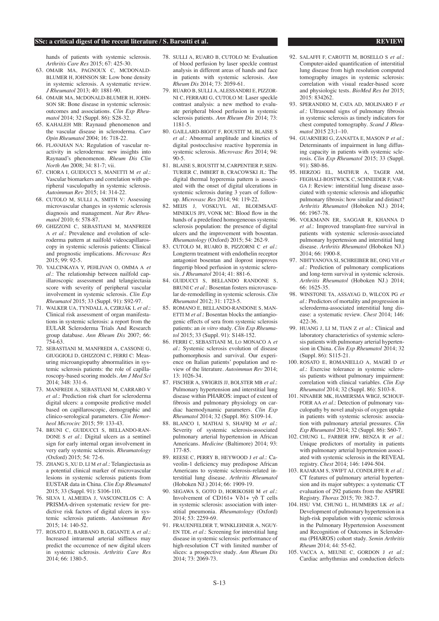#### **SSc: a critical digest of the recent literature / S. Barsotti et al. REVIEW REVIEW**

hands of patients with systemic sclerosis. *Arthritis Care Res* 2015; 67: 425-30.

- 63. OMAIR MA, PAGNOUX C, MCDONALD-BLUMER H, JOHNSON SR: Low bone density in systemic sclerosis. A systematic review. *J Rheumatol* 2013; 40: 1881-90.
- 64. OMAIR MA, McDONALD-BLUMER H, JOHN-SON SR: Bone disease in systemic sclerosis: outcomes and associations. *Clin Exp Rheumatol* 2014; 32 (Suppl. 86): S28-32.
- 65. KAHALEH MB: Raynaud phenomenon and the vascular disease in scleroderma. *Curr Opin Rheumatol* 2004; 16: 718-22.
- 66. FLAVAHAN NA: Regulation of vascular reactivity in scleroderma: new insights into Raynaud's phenomenon. *Rheum Dis Clin North Am* 2008; 34: 81-7; vii.
- 67. CHORA I, GUIDUCCI S, MANETTI M *et al.*: Vascular biomarkers and correlation with peripheral vasculopathy in systemic sclerosis. *Autoimmun Rev* 2015; 14: 314-22.
- 68. CUTOLO M, SULLI A, SMITH V: Assessing microvascular changes in systemic sclerosis diagnosis and management. *Nat Rev Rheumatol* 2010; 6: 578-87.
- 69. GHIZZONI C, SEBASTIANI M, MANFREDI A *et al.*: Prevalence and evolution of scleroderma pattern at nailfold videocapillaroscopy in systemic sclerosis patients: Clinical and prognostic implications. *Microvasc Res*  $2015.99:92-5.$
- 70. YALCINKAYA Y, PEHLIVAN O, OMMA A *et al.*: The relationship between nailfold capillaroscopic assessment and telangiectasia score with severity of peripheral vascular involvement in systemic sclerosis. *Clin Exp Rheumatol* 2015; 33 (Suppl. 91): S92-97.
- 71. WALKER UA, TYNDALL A, CZIRJÁK L *et al.*: Clinical risk assessment of organ manifestations in systemic sclerosis: a report from the EULAR Scleroderma Trials And Research group database. *Ann Rheum Dis* 2007; 66: 754-63.
- 72. SEBASTIANI M, MANFREDI A, CASSONE G, GIUGGIOLI D, GHIZZONI C, FERRI C: Measuring microangiopathy abnormalities in systemic sclerosis patients: the role of capillaroscopy-based scoring models. *Am J Med Sci* 2014; 348: 331-6.
- 73. MANFREDI A, SEBASTIANI M, CARRARO V *et al.*: Prediction risk chart for scleroderma digital ulcers: a composite predictive model based on capillaroscopic, demographic and clinico-serological parameters. *Clin Hemorheol Microcirc* 2015; 59: 133-43.
- 74. BRUNI C, GUIDUCCI S, BELLANDO-RAN-DONE S *et al.*: Digital ulcers as a sentinel sign for early internal organ involvement in very early systemic sclerosis. *Rheumatology (*Oxford) 2015; 54: 72-6.
- 75. ZHANG S, XU D, LI M *et al.*: Telangiectasia as a potential clinical marker of microvascular lesions in systemic sclerosis patients from EUSTAR data in China. *Clin Exp Rheumatol* 2015; 33 (Suppl. 91): S106-110.
- 76. SILVA I, ALMEIDA J, VASCONCELOS C: A PRISMA-driven systematic review for predictive risk factors of digital ulcers in systemic sclerosis patients. *Autoimmun Rev* 2015; 14: 140-52.
- 77. ROSATO E, BARBANO B, GIGANTE A *et al.*: Increased intrarenal arterial stiffness may predict the occurrence of new digital ulcers in systemic sclerosis. *Arthritis Care Res* 2014; 66: 1380-5.
- 78. SULLI A, RUARO B, CUTOLO M: Evaluation of blood perfusion by laser speckle contrast analysis in different areas of hands and face in patients with systemic sclerosis. *Ann Rheum Dis* 2014; 73: 2059-61.
- 79. RUARO B, SULLI A, ALESSANDRI E, PIZZOR-NI C, FERRARI G, CUTOLO M: Laser speckle contrast analysis: a new method to evaluate peripheral blood perfusion in systemic sclerosis patients. *Ann Rheum Dis* 2014; 73: 1181-5.
- 80. GAILLARD-BIGOT F, ROUSTIT M, BLAISE S *et al.*: Abnormal amplitude and kinetics of digital postocclusive reactive hyperemia in systemic sclerosis. *Microvasc Res* 2014; 94:  $90-5$
- 81. BLAISE S, ROUSTIT M, CARPENTIER P, SEIN-TURIER C, IMBERT B, CRACOWSKI JL: The digital thermal hyperemia pattern is associated with the onset of digital ulcerations in systemic sclerosis during 3 years of followup. *Microvasc Res* 2014; 94: 119-22.
- 82. MEIJS J, VOSKUYL AE, BLOEMSAAT-MINEKUS JPJ, VONK MC: Blood flow in the hands of a predefined homogeneous systemic sclerosis population: the presence of digital ulcers and the improvement with bosentan. *Rheumatology* (Oxford) 2015; 54: 262-9.
- 83. CUTOLO M, RUARO B, PIZZORNI C *et al.*: Longterm treatment with endothelin receptor antagonist bosentan and iloprost improves fingertip blood perfusion in systemic sclerosis. *J Rheumatol* 2014; 41: 881-6.
- 84. GUIDUCCI S, BELLANDO RANDONE S, BRUNI C *et al.*: Bosentan fosters microvascular de-remodelling in systemic sclerosis. *Clin Rheumatol* 2012; 31: 1723-5.
- 85. ROMANO E, BELLANDO-RANDONE S, MAN-ETTI M *et al.*: Bosentan blocks the antiangiogenic effects of sera from systemic sclerosis patients: an *in vitro* study. *Clin Exp Rheumatol* 2015; 33 (Suppl. 91): S148-152.
- 86. FERRI C, SEBASTIANI M, Lo MONACO A *et al.*: Systemic sclerosis evolution of disease pathomorphosis and survival. Our experience on Italian patients' population and review of the literature. *Autoimmun Rev* 2014; 13: 1026-34.
- 87. FISCHER A, SWIGRIS JJ, BOLSTER MB *et al.*: Pulmonary hypertension and interstitial lung disease within PHAROS: impact of extent of fibrosis and pulmonary physiology on cardiac haemodynamic parameters. *Clin Exp Rheumatol* 2014; 32 (Suppl. 86): S109-14.
- 88. BLANCO I, MATHAI S, SHAFIQ M *et al.*: Severity of systemic sclerosis-associated pulmonary arterial hypertension in African Americans. *Medicine* (Baltimore) 2014; 93: 177-85.
- 89. REESE C, PERRY B, HEYWOOD J *et al.*: Caveolin-1 deficiency may predispose African Americans to systemic sclerosis-related interstitial lung disease. *Arthritis Rheumatol*  (Hoboken NJ.) 2014; 66: 1909-19.
- 90. SEGAWA S, GOTO D, HORIKOSHI M *et al.*: Involvement of CD161+ Vδ1+ γδ T cells in systemic sclerosis: association with interstitial pneumonia. *Rheumatology* (Oxford)  $2014.53.2259 - 69$
- 91. FRAUENFELDER T, WINKLEHNER A, NGUY-EN TDL *et al.*: Screening for interstitial lung disease in systemic sclerosis: performance of high-resolution CT with limited number of slices: a prospective study. *Ann Rheum Dis* 2014; 73: 2069-73.
- 92. SALAFFI F, CAROTTI M, BOSELLO S *et al.*: Computer-aided quantification of interstitial lung disease from high resolution computed tomography images in systemic sclerosis: correlation with visual reader-based score and physiologic tests. *BioMed Res Int* 2015; 2015: 834262.
- 93. SPERANDEO M, CATA AD, MOLINARO F *et al.*: Ultrasound signs of pulmonary fibrosis in systemic sclerosis as timely indicators for chest computed tomography. *Scand J Rheumatol* 2015 23;1–10.
- 94. GUARNIERI G, ZANATTA E, MASON P *et al.*: Determinants of impairment in lung diffusing capacity in patients with systemic sclerosis. *Clin Exp Rheumatol* 2015; 33 (Suppl. 91): S80-86.
- 95. HERZOG EL, MATHUR A, TAGER AM, FEGHALI-BOSTWICK C, SCHNEIDER F, VAR-GA J: Review: interstitial lung disease associated with systemic sclerosis and idiopathic pulmonary fibrosis: how similar and distinct? *Arthritis Rheumatol* (Hoboken NJ.) 2014; 66: 1967-78.
- 96. VOLKMANN ER, SAGGAR R, KHANNA D *et al.*: Improved transplant-free survival in patients with systemic sclerosis-associated pulmonary hypertension and interstitial lung disease. *Arthritis Rheumatol* (Hoboken NJ.) 2014; 66: 1900-8.
- 97. NIHTYANOVA SI, SCHREIBER BE, ONG VH *et al.*: Prediction of pulmonary complications and long-term survival in systemic sclerosis. *Arthritis Rheumatol* (Hoboken NJ.) 2014; 66: 1625-35.
- 98. WINSTONE TA, ASSAYAG D, WILCOX PG *et al.*: Predictors of mortality and progression in scleroderma-associated interstitial lung disease: a systematic review. *Chest* 2014; 146: 422-36.
- 99. HUANG J, LI M, TIAN Z *et al.*: Clinical and laboratory characteristics of systemic sclerosis patients with pulmonary arterial hypertension in China. *Clin Exp Rheumatol* 2014; 32 (Suppl. 86): S115-21.
- 100. ROSATO E, ROMANIELLO A, MAGRÌ D *et al.*: Exercise tolerance in systemic sclerosis patients without pulmonary impairment: correlation with clinical variables. *Clin Exp Rheumatol* 2014; 32 (Suppl. 86): S103-8.
- 101. NINABER MK, HAMERSMA WBGJ, SCHOUF-FOER AA et al.: Detection of pulmonary vasculopathy by novel analysis of oxygen uptake in patients with systemic sclerosis: association with pulmonary arterial pressures. *Clin Exp Rheumatol* 2014; 32 (Suppl. 86): S60-7.
- 102. CHUNG L, FARBER HW, BENZA R *et al.*: Unique predictors of mortality in patients with pulmonary arterial hypertension associated with systemic sclerosis in the REVEAL registry. *Chest* 2014; 146: 1494-504.
- 103. RAJARAM S, SWIFT AJ, CONDLIFFE R *et al.*: CT features of pulmonary arterial hypertension and its major subtypes: a systematic CT evaluation of 292 patients from the ASPIRE Registry. *Thorax* 2015; 70: 382-7.
- 104. HSU VM, CHUNG L, HUMMERS LK *et al.*: Development of pulmonary hypertension in a high-risk population with systemic sclerosis in the Pulmonary Hypertension Assessment and Recognition of Outcomes in Scleroderma (PHAROS) cohort study. *Semin Arthritis Rheum* 2014; 44: 55-62.
- 105. VACCA A, MEUNE C, GORDON J *et al.*: Cardiac arrhythmias and conduction defects